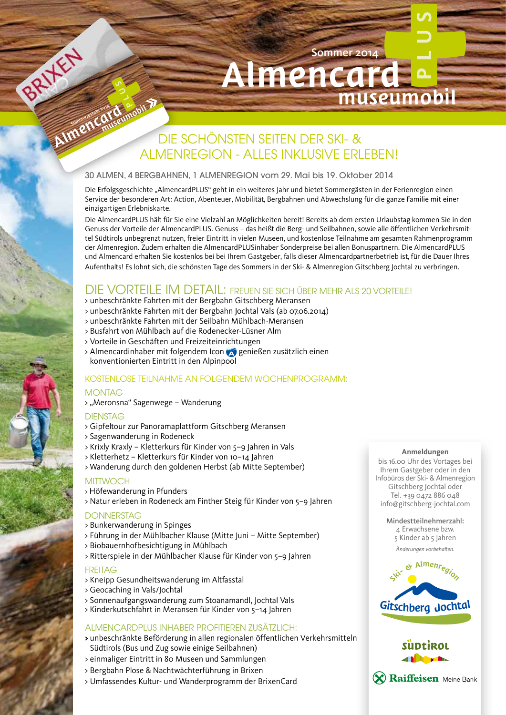# DIE SCHÖNSTEN SEITEN DER SKI- & ALMENREGION - ALLES INKLUSIVE ERLEBEN! Almencard museumobil

Almencar

Sommer 2014

#### 30 ALMEN, 4 BERGBAHNEN, 1 ALMENREGION vom 29. Mai bis 19. Oktober 2014

Die Erfolgsgeschichte "AlmencardPLUS" geht in ein weiteres Jahr und bietet Sommergästen in der Ferienregion einen Service der besonderen Art: Action, Abenteuer, Mobilität, Bergbahnen und Abwechslung für die ganze Familie mit einer einzigartigen Erlebniskarte.

Die AlmencardPLUS hält für Sie eine Vielzahl an Möglichkeiten bereit! Bereits ab dem ersten Urlaubstag kommen Sie in den Genuss der Vorteile der AlmencardPLUS. Genuss – das heißt die Berg- und Seilbahnen, sowie alle öffentlichen Verkehrsmittel Südtirols unbegrenzt nutzen, freier Eintritt in vielen Museen, und kostenlose Teilnahme am gesamten Rahmenprogramm der Almenregion. Zudem erhalten die AlmencardPLUSinhaber Sonderpreise bei allen Bonuspartnern. Die AlmencardPLUS und Almencard erhalten Sie kostenlos bei bei Ihrem Gastgeber, falls dieser Almencardpartnerbetrieb ist, für die Dauer Ihres Aufenthalts! Es lohnt sich, die schönsten Tage des Sommers in der Ski- & Almenregion Gitschberg Jochtal zu verbringen.

# DIE VORTEILE IM DETAIL: FREUEN SIE SICH ÜBER MEHR ALS 20 VORTEILE!

- > unbeschränkte Fahrten mit der Bergbahn Gitschberg Meransen
- > unbeschränkte Fahrten mit der Bergbahn Jochtal Vals (ab 07.06.2014)
- > unbeschränkte Fahrten mit der Seilbahn Mühlbach-Meransen
- > Busfahrt von Mühlbach auf die Rodenecker-Lüsner Alm
- > Vorteile in Geschäften und Freizeiteinrichtungen
- > Almencardinhaber mit folgendem Icon <a>
genießen zusätzlich einen konventionierten Eintritt in den Alpinpool

### KOSTENLOSE TEILNAHME AN FOLGENDEM WOCHENPROGRAMM:

#### MONTAG

**Plus**

Sommerlestate 2014

> "Meronsna" Sagenwege – Wanderung

#### **DIENSTAG**

- > Gipfeltour zur Panoramaplattform Gitschberg Meransen
- > Sagenwanderung in Rodeneck
- > Krixly Kraxly Kletterkurs für Kinder von 5–9 Jahren in Vals
- > Kletterhetz Kletterkurs für Kinder von 10–14 Jahren
- > Wanderung durch den goldenen Herbst (ab Mitte September)

#### **MITTWOCH**

- > Höfewanderung in Pfunders
- > Natur erleben in Rodeneck am Finther Steig für Kinder von 5–9 Jahren

#### **DONNERSTAG**

- > Bunkerwanderung in Spinges
- > Führung in der Mühlbacher Klause (Mitte Juni Mitte September)
- > Biobauernhofbesichtigung in Mühlbach
- > Ritterspiele in der Mühlbacher Klause für Kinder von 5–9 Jahren

#### **FREITAG**

- > Kneipp Gesundheitswanderung im Altfasstal
- > Geocaching in Vals/Jochtal
- > Sonnenaufgangswanderung zum Stoanamandl, Jochtal Vals
- > Kinderkutschfahrt in Meransen für Kinder von 5–14 Jahren

#### ALMENCARDPLUS INHABER PROFITIEREN ZUSÄTZLICH:

- **>** unbeschränkte Beförderung in allen regionalen öffentlichen Verkehrsmitteln Südtirols (Bus und Zug sowie einige Seilbahnen)
- > einmaliger Eintritt in 80 Museen und Sammlungen
- > Bergbahn Plose & Nachtwächterführung in Brixen
- > Umfassendes Kultur- und Wanderprogramm der BrixenCard

#### **Anmeldungen**

museumobil

bis 16.00 Uhr des Vortages bei Ihrem Gastgeber oder in den Infobüros der Ski- & Almenregion Gitschberg Jochtal oder Tel. +39 0472 886 048 info@gitschberg-jochtal.com

> Mindestteilnehmerzahl: 4 Erwachsene bzw. 5 Kinder ab 5 Jahren *Änderungen vorbehalten.*



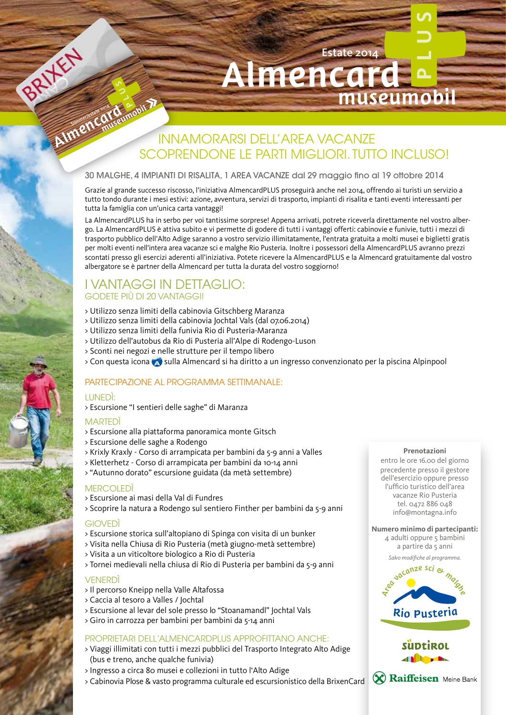# Almencard museumobil INNAMORARSI DELL'AREA VACANZE SCOPRENDONE LE PARTI MIGLIORI. TUTTO INCLUSO!

Almencar

#### 30 MALGHE, 4 IMPIANTI DI RISALITA, 1 AREA VACANZE dal 29 maggio fino al 19 ottobre 2014

Grazie al grande successo riscosso, l'iniziativa AlmencardPLUS proseguirà anche nel 2014, offrendo ai turisti un servizio a tutto tondo durante i mesi estivi: azione, avventura, servizi di trasporto, impianti di risalita e tanti eventi interessanti per tutta la famiglia con un'unica carta vantaggi!

La AlmencardPLUS ha in serbo per voi tantissime sorprese! Appena arrivati, potrete riceverla direttamente nel vostro albergo. La AlmencardPLUS è attiva subito e vi permette di godere di tutti i vantaggi offerti: cabinovie e funivie, tutti i mezzi di trasporto pubblico dell'Alto Adige saranno a vostro servizio illimitatamente, l'entrata gratuita a molti musei e biglietti gratis per molti eventi nell'intera area vacanze sci e malghe Rio Pusteria. Inoltre i possessori della AlmencardPLUS avranno prezzi scontati presso gli esercizi aderenti all'iniziativa. Potete ricevere la AlmencardPLUS e la Almencard gratuitamente dal vostro albergatore se è partner della Almencard per tutta la durata del vostro soggiorno!

### I VANTAGGI IN DETTAGLIO: GODETE PIÙ DI 20 VANTAGGI!

**Plus**

Sommerlestate 2014

- > Utilizzo senza limiti della cabinovia Gitschberg Maranza
- > Utilizzo senza limiti della cabinovia Jochtal Vals (dal 07.06.2014)
- > Utilizzo senza limiti della funivia Rio di Pusteria-Maranza
- > Utilizzo dell'autobus da Rio di Pusteria all'Alpe di Rodengo-Luson
- > Sconti nei negozi e nelle strutture per il tempo libero
- > Con questa icona so sulla Almencard si ha diritto a un ingresso convenzionato per la piscina Alpinpool<br>DADIECIDAZIONE AL PROCRAMMA SETTIMANIALE:

## PARTECIPAZIONE AL PROGRAMMA SETTIMANALE:

#### LUNEDÌ:

> Escursione "I sentieri delle saghe" di Maranza

#### MARTEDÌ

- > Escursione alla piattaforma panoramica monte Gitsch
- > Escursione delle saghe a Rodengo
- > Krixly Kraxly Corso di arrampicata per bambini da 5-9 anni a Valles
- > Kletterhetz Corso di arrampicata per bambini da 10-14 anni
- > "Autunno dorato" escursione guidata (da metà settembre)

#### **MERCOLEDÌ**

- > Escursione ai masi della Val di Fundres
- > Scoprire la natura a Rodengo sul sentiero Finther per bambini da 5-9 anni

#### **GIOVEDÌ**

- > Escursione storica sull'altopiano di Spinga con visita di un bunker
- > Visita nella Chiusa di Rio Pusteria (metà giugno-metà settembre)
- > Visita a un viticoltore biologico a Rio di Pusteria
- > Tornei medievali nella chiusa di Rio di Pusteria per bambini da 5-9 anni

#### VENERDÌ

- > Il percorso Kneipp nella Valle Altafossa
- > Caccia al tesoro a Valles / Jochtal
- > Escursione al levar del sole presso lo "Stoanamandl" Jochtal Vals
- > Giro in carrozza per bambini per bambini da 5-14 anni

#### PROPRIETARI DELL'ALMENCARDPLUS APPROFITTANO ANCHE:

- > Viaggi illimitati con tutti i mezzi pubblici del Trasporto Integrato Alto Adige (bus e treno, anche qualche funivia)
- > Ingresso a circa 80 musei e collezioni in tutto l'Alto Adige
- > Cabinovia Plose & vasto programma culturale ed escursionistico della BrixenCard

#### **Prenotazioni**

museumobil

Estate 2014

entro le ore 16.00 del giorno precedente presso il gestore<br>dell'esercizio oppure presso dell'esercizio oppure presso l'ufficio turistico dell'area vacanze Rio Pusteria tel. 0472 886 048 tel. 0472 886 048<br>info@montagna.info

#### Numero minimo di partecipanti:

4 adulti oppure 5 bambini a partire da 5 anni

*Salvo modifiche al programma.*